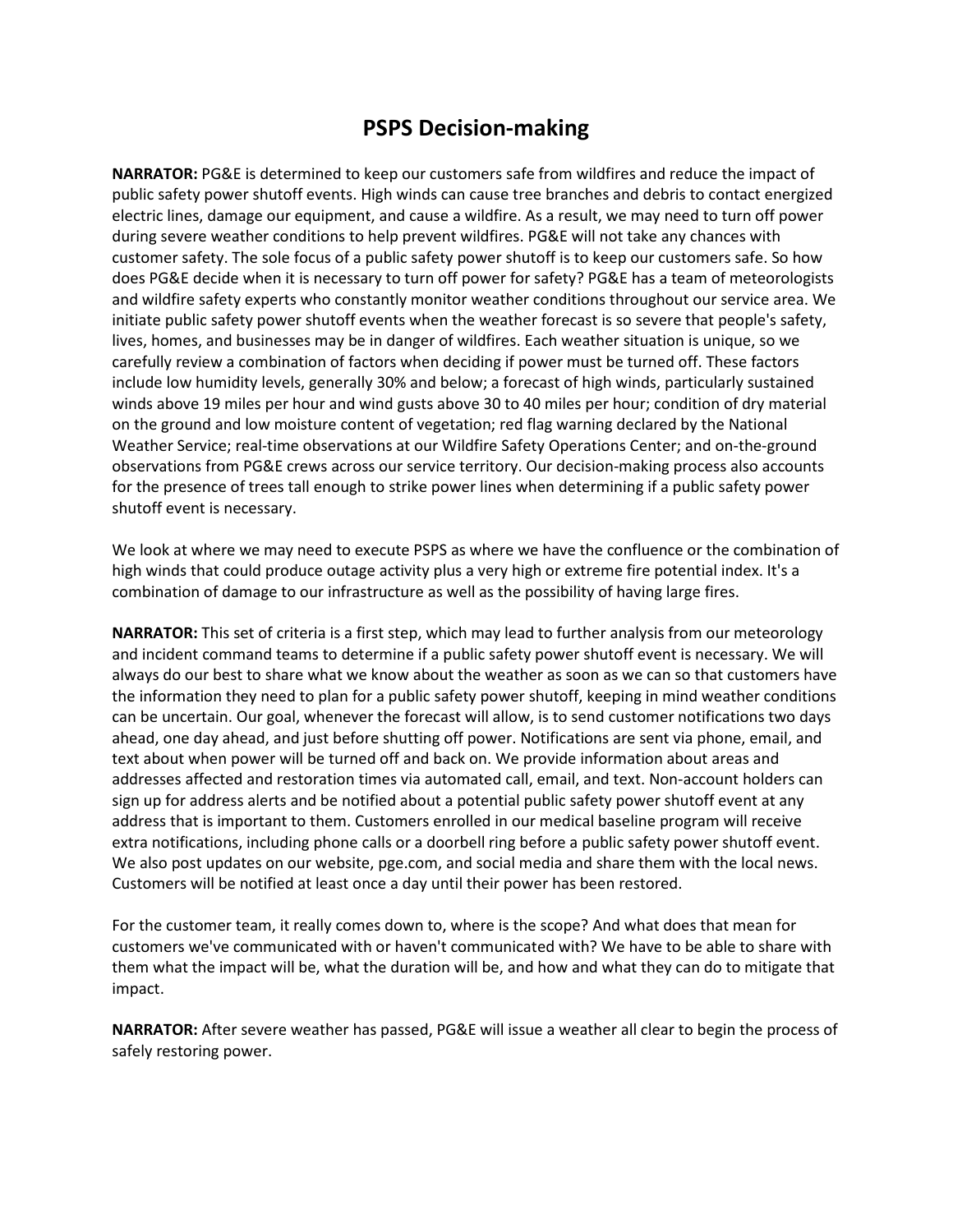## **PSPS Decision-making**

**NARRATOR:** PG&E is determined to keep our customers safe from wildfires and reduce the impact of public safety power shutoff events. High winds can cause tree branches and debris to contact energized electric lines, damage our equipment, and cause a wildfire. As a result, we may need to turn off power during severe weather conditions to help prevent wildfires. PG&E will not take any chances with customer safety. The sole focus of a public safety power shutoff is to keep our customers safe. So how does PG&E decide when it is necessary to turn off power for safety? PG&E has a team of meteorologists and wildfire safety experts who constantly monitor weather conditions throughout our service area. We initiate public safety power shutoff events when the weather forecast is so severe that people's safety, lives, homes, and businesses may be in danger of wildfires. Each weather situation is unique, so we carefully review a combination of factors when deciding if power must be turned off. These factors include low humidity levels, generally 30% and below; a forecast of high winds, particularly sustained winds above 19 miles per hour and wind gusts above 30 to 40 miles per hour; condition of dry material on the ground and low moisture content of vegetation; red flag warning declared by the National Weather Service; real-time observations at our Wildfire Safety Operations Center; and on-the-ground observations from PG&E crews across our service territory. Our decision-making process also accounts for the presence of trees tall enough to strike power lines when determining if a public safety power shutoff event is necessary.

We look at where we may need to execute PSPS as where we have the confluence or the combination of high winds that could produce outage activity plus a very high or extreme fire potential index. It's a combination of damage to our infrastructure as well as the possibility of having large fires.

**NARRATOR:** This set of criteria is a first step, which may lead to further analysis from our meteorology and incident command teams to determine if a public safety power shutoff event is necessary. We will always do our best to share what we know about the weather as soon as we can so that customers have the information they need to plan for a public safety power shutoff, keeping in mind weather conditions can be uncertain. Our goal, whenever the forecast will allow, is to send customer notifications two days ahead, one day ahead, and just before shutting off power. Notifications are sent via phone, email, and text about when power will be turned off and back on. We provide information about areas and addresses affected and restoration times via automated call, email, and text. Non-account holders can sign up for address alerts and be notified about a potential public safety power shutoff event at any address that is important to them. Customers enrolled in our medical baseline program will receive extra notifications, including phone calls or a doorbell ring before a public safety power shutoff event. We also post updates on our website, pge.com, and social media and share them with the local news. Customers will be notified at least once a day until their power has been restored.

For the customer team, it really comes down to, where is the scope? And what does that mean for customers we've communicated with or haven't communicated with? We have to be able to share with them what the impact will be, what the duration will be, and how and what they can do to mitigate that impact.

**NARRATOR:** After severe weather has passed, PG&E will issue a weather all clear to begin the process of safely restoring power.